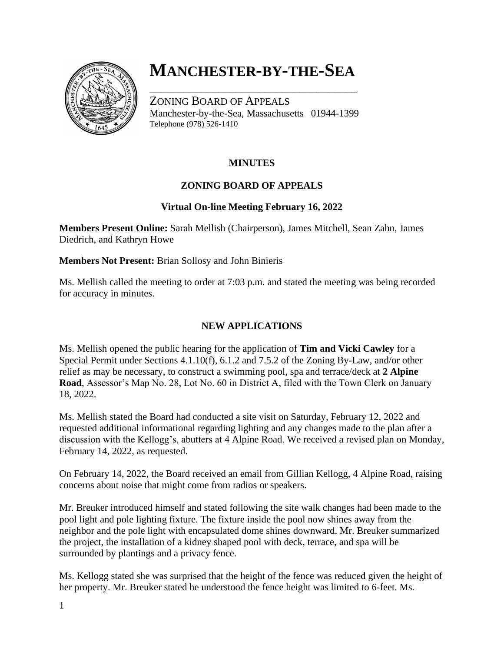

# **MANCHESTER-BY-THE-SEA**

\_\_\_\_\_\_\_\_\_\_\_\_\_\_\_\_\_\_\_\_\_\_\_\_\_\_\_\_\_\_\_\_\_\_\_\_

ZONING BOARD OF APPEALS Manchester-by-the-Sea, Massachusetts 01944-1399 Telephone (978) 526-1410

# **MINUTES**

# **ZONING BOARD OF APPEALS**

#### **Virtual On-line Meeting February 16, 2022**

**Members Present Online:** Sarah Mellish (Chairperson), James Mitchell, Sean Zahn, James Diedrich, and Kathryn Howe

**Members Not Present:** Brian Sollosy and John Binieris

Ms. Mellish called the meeting to order at 7:03 p.m. and stated the meeting was being recorded for accuracy in minutes.

### **NEW APPLICATIONS**

Ms. Mellish opened the public hearing for the application of **Tim and Vicki Cawley** for a Special Permit under Sections 4.1.10(f), 6.1.2 and 7.5.2 of the Zoning By-Law, and/or other relief as may be necessary, to construct a swimming pool, spa and terrace/deck at **2 Alpine Road**, Assessor's Map No. 28, Lot No. 60 in District A, filed with the Town Clerk on January 18, 2022.

Ms. Mellish stated the Board had conducted a site visit on Saturday, February 12, 2022 and requested additional informational regarding lighting and any changes made to the plan after a discussion with the Kellogg's, abutters at 4 Alpine Road. We received a revised plan on Monday, February 14, 2022, as requested.

On February 14, 2022, the Board received an email from Gillian Kellogg, 4 Alpine Road, raising concerns about noise that might come from radios or speakers.

Mr. Breuker introduced himself and stated following the site walk changes had been made to the pool light and pole lighting fixture. The fixture inside the pool now shines away from the neighbor and the pole light with encapsulated dome shines downward. Mr. Breuker summarized the project, the installation of a kidney shaped pool with deck, terrace, and spa will be surrounded by plantings and a privacy fence.

Ms. Kellogg stated she was surprised that the height of the fence was reduced given the height of her property. Mr. Breuker stated he understood the fence height was limited to 6-feet. Ms.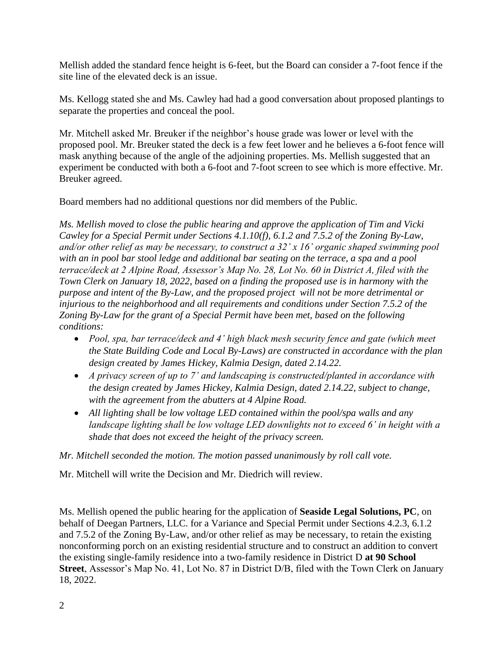Mellish added the standard fence height is 6-feet, but the Board can consider a 7-foot fence if the site line of the elevated deck is an issue.

Ms. Kellogg stated she and Ms. Cawley had had a good conversation about proposed plantings to separate the properties and conceal the pool.

Mr. Mitchell asked Mr. Breuker if the neighbor's house grade was lower or level with the proposed pool. Mr. Breuker stated the deck is a few feet lower and he believes a 6-foot fence will mask anything because of the angle of the adjoining properties. Ms. Mellish suggested that an experiment be conducted with both a 6-foot and 7-foot screen to see which is more effective. Mr. Breuker agreed.

Board members had no additional questions nor did members of the Public.

*Ms. Mellish moved to close the public hearing and approve the application of Tim and Vicki Cawley for a Special Permit under Sections 4.1.10(f), 6.1.2 and 7.5.2 of the Zoning By-Law, and/or other relief as may be necessary, to construct a 32' x 16' organic shaped swimming pool with an in pool bar stool ledge and additional bar seating on the terrace, a spa and a pool terrace/deck at 2 Alpine Road, Assessor's Map No. 28, Lot No. 60 in District A, filed with the Town Clerk on January 18, 2022, based on a finding the proposed use is in harmony with the purpose and intent of the By-Law, and the proposed project will not be more detrimental or injurious to the neighborhood and all requirements and conditions under Section 7.5.2 of the Zoning By-Law for the grant of a Special Permit have been met, based on the following conditions:*

- *Pool, spa, bar terrace/deck and 4' high black mesh security fence and gate (which meet the State Building Code and Local By-Laws) are constructed in accordance with the plan design created by James Hickey, Kalmia Design, dated 2.14.22.*
- *A privacy screen of up to 7' and landscaping is constructed/planted in accordance with the design created by James Hickey, Kalmia Design, dated 2.14.22, subject to change, with the agreement from the abutters at 4 Alpine Road.*
- *All lighting shall be low voltage LED contained within the pool/spa walls and any landscape lighting shall be low voltage LED downlights not to exceed 6' in height with a shade that does not exceed the height of the privacy screen.*

*Mr. Mitchell seconded the motion. The motion passed unanimously by roll call vote.*

Mr. Mitchell will write the Decision and Mr. Diedrich will review.

Ms. Mellish opened the public hearing for the application of **Seaside Legal Solutions, PC**, on behalf of Deegan Partners, LLC. for a Variance and Special Permit under Sections 4.2.3, 6.1.2 and 7.5.2 of the Zoning By-Law, and/or other relief as may be necessary, to retain the existing nonconforming porch on an existing residential structure and to construct an addition to convert the existing single-family residence into a two-family residence in District D **at 90 School Street**, Assessor's Map No. 41, Lot No. 87 in District D/B, filed with the Town Clerk on January 18, 2022.